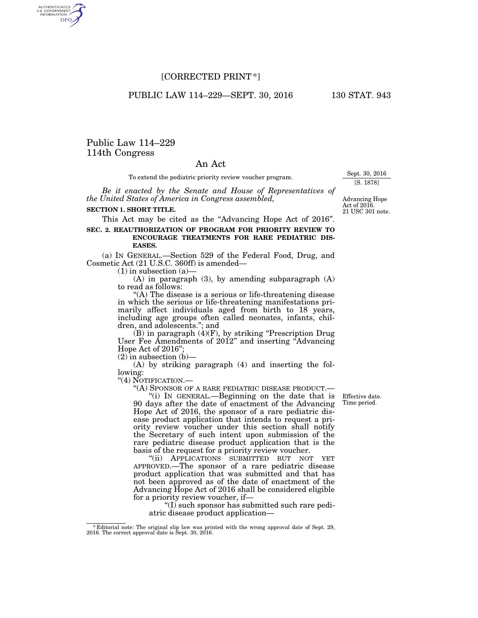# [CORRECTED PRINT \*]

PUBLIC LAW 114-229-SEPT. 30, 2016 130 STAT. 943

Public Law 114–229 114th Congress

AUTHENTICATED<br>U.S. GOVERNMENT<br>INFORMATION **GPO** 

## An Act

To extend the pediatric priority review voucher program.

*Be it enacted by the Senate and House of Representatives of the United States of America in Congress assembled,* 

#### **SECTION 1. SHORT TITLE.**

This Act may be cited as the "Advancing Hope Act of 2016".

### **SEC. 2. REAUTHORIZATION OF PROGRAM FOR PRIORITY REVIEW TO ENCOURAGE TREATMENTS FOR RARE PEDIATRIC DIS-EASES.**

(a) IN GENERAL.—Section 529 of the Federal Food, Drug, and Cosmetic Act (21 U.S.C. 360ff) is amended—

 $(1)$  in subsection  $(a)$ 

(A) in paragraph (3), by amending subparagraph (A) to read as follows:

''(A) The disease is a serious or life-threatening disease in which the serious or life-threatening manifestations primarily affect individuals aged from birth to 18 years, including age groups often called neonates, infants, children, and adolescents.''; and

(B) in paragraph (4)(F), by striking ''Prescription Drug User Fee Amendments of 2012" and inserting "Advancing" Hope Act of 2016'';

 $(2)$  in subsection  $(b)$ —

(A) by striking paragraph (4) and inserting the following:

''(4) NOTIFICATION.—

''(A) SPONSOR OF A RARE PEDIATRIC DISEASE PRODUCT.— ''(i) IN GENERAL.—Beginning on the date that is 90 days after the date of enactment of the Advancing Hope Act of 2016, the sponsor of a rare pediatric disease product application that intends to request a priority review voucher under this section shall notify the Secretary of such intent upon submission of the rare pediatric disease product application that is the basis of the request for a priority review voucher.

''(ii) APPLICATIONS SUBMITTED BUT NOT YET APPROVED.—The sponsor of a rare pediatric disease product application that was submitted and that has not been approved as of the date of enactment of the Advancing Hope Act of 2016 shall be considered eligible for a priority review voucher, if—

''(I) such sponsor has submitted such rare pediatric disease product applicationEffective date. Time period.

21 USC 301 note. Advancing Hope Act of 2016.

Sept. 30, 2016 [S. 1878]

<sup>\*</sup> Editorial note: The original slip law was printed with the wrong approval date of Sept. 29, 2016. The correct approval date is Sept. 30, 2016.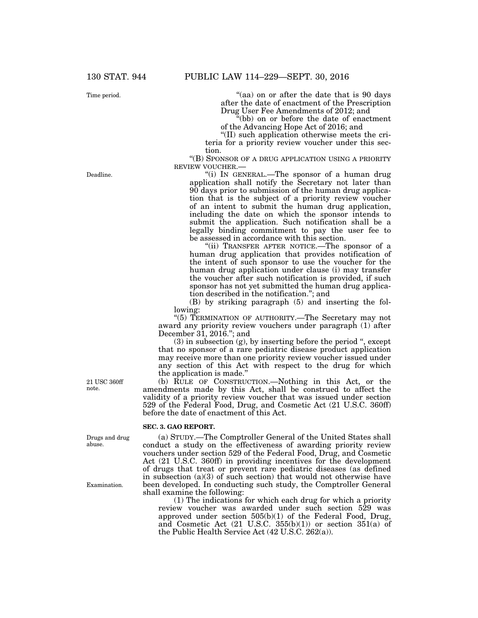Time period.

Deadline.

"(aa) on or after the date that is 90 days after the date of enactment of the Prescription Drug User Fee Amendments of 2012; and

''(bb) on or before the date of enactment of the Advancing Hope Act of 2016; and

''(II) such application otherwise meets the criteria for a priority review voucher under this section.

''(B) SPONSOR OF A DRUG APPLICATION USING A PRIORITY REVIEW VOUCHER.—

''(i) IN GENERAL.—The sponsor of a human drug application shall notify the Secretary not later than 90 days prior to submission of the human drug application that is the subject of a priority review voucher of an intent to submit the human drug application, including the date on which the sponsor intends to submit the application. Such notification shall be a legally binding commitment to pay the user fee to be assessed in accordance with this section.

"(ii) TRANSFER AFTER NOTICE.—The sponsor of a human drug application that provides notification of the intent of such sponsor to use the voucher for the human drug application under clause (i) may transfer the voucher after such notification is provided, if such sponsor has not yet submitted the human drug application described in the notification.''; and

(B) by striking paragraph (5) and inserting the following:

''(5) TERMINATION OF AUTHORITY.—The Secretary may not award any priority review vouchers under paragraph (1) after December 31, 2016.''; and

 $(3)$  in subsection  $(g)$ , by inserting before the period ", except that no sponsor of a rare pediatric disease product application may receive more than one priority review voucher issued under any section of this Act with respect to the drug for which the application is made.''

(b) RULE OF CONSTRUCTION.—Nothing in this Act, or the amendments made by this Act, shall be construed to affect the validity of a priority review voucher that was issued under section 529 of the Federal Food, Drug, and Cosmetic Act (21 U.S.C. 360ff) before the date of enactment of this Act.

#### **SEC. 3. GAO REPORT.**

(a) STUDY.—The Comptroller General of the United States shall conduct a study on the effectiveness of awarding priority review vouchers under section 529 of the Federal Food, Drug, and Cosmetic Act (21 U.S.C. 360ff) in providing incentives for the development of drugs that treat or prevent rare pediatric diseases (as defined in subsection (a)(3) of such section) that would not otherwise have been developed. In conducting such study, the Comptroller General shall examine the following:

(1) The indications for which each drug for which a priority review voucher was awarded under such section 529 was approved under section 505(b)(1) of the Federal Food, Drug, and Cosmetic Act  $(21 \text{ U.S.C. } 355(b)(1))$  or section  $351(a)$  of the Public Health Service Act (42 U.S.C. 262(a)).

21 USC 360ff note.

Drugs and drug abuse.

Examination.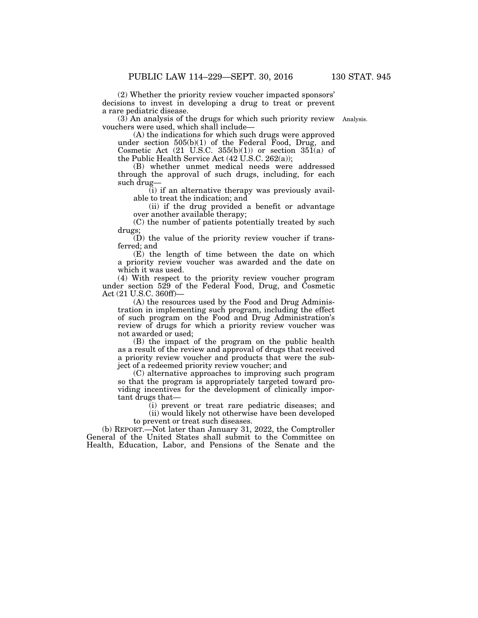(2) Whether the priority review voucher impacted sponsors' decisions to invest in developing a drug to treat or prevent a rare pediatric disease.

(3) An analysis of the drugs for which such priority review Analysis. vouchers were used, which shall include—

(A) the indications for which such drugs were approved under section  $505(b)(1)$  of the Federal Food, Drug, and Cosmetic Act  $(21 \text{ U.S.C. } 355(b)(1))$  or section  $35\tilde{1}(a)$  of the Public Health Service Act (42 U.S.C. 262(a));

(B) whether unmet medical needs were addressed through the approval of such drugs, including, for each such drug—

(i) if an alternative therapy was previously available to treat the indication; and

(ii) if the drug provided a benefit or advantage over another available therapy;

(C) the number of patients potentially treated by such drugs;

 $(D)$  the value of the priority review voucher if transferred; and

(E) the length of time between the date on which a priority review voucher was awarded and the date on which it was used.

(4) With respect to the priority review voucher program under section 529 of the Federal Food, Drug, and Cosmetic Act (21 U.S.C. 360ff)—

(A) the resources used by the Food and Drug Administration in implementing such program, including the effect of such program on the Food and Drug Administration's review of drugs for which a priority review voucher was not awarded or used;

(B) the impact of the program on the public health as a result of the review and approval of drugs that received a priority review voucher and products that were the subject of a redeemed priority review voucher; and

(C) alternative approaches to improving such program so that the program is appropriately targeted toward providing incentives for the development of clinically important drugs that—

(i) prevent or treat rare pediatric diseases; and (ii) would likely not otherwise have been developed to prevent or treat such diseases.

(b) REPORT.—Not later than January 31, 2022, the Comptroller General of the United States shall submit to the Committee on Health, Education, Labor, and Pensions of the Senate and the